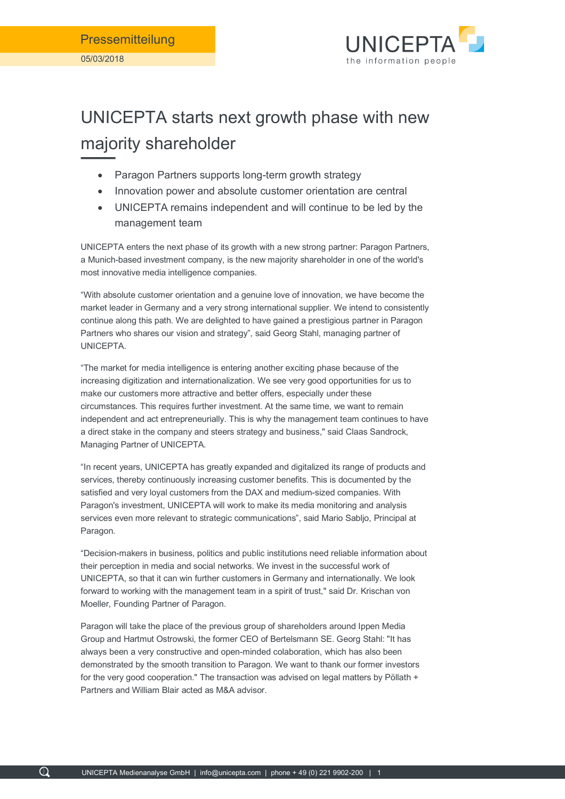

## UNICEPTA starts next growth phase with new majority shareholder

- Paragon Partners supports long-term growth strategy
- Innovation power and absolute customer orientation are central
- UNICEPTA remains independent and will continue to be led by the management team

UNICEPTA enters the next phase of its growth with a new strong partner: Paragon Partners, a Munich-based investment company, is the new majority shareholder in one of the world's most innovative media intelligence companies.

"With absolute customer orientation and a genuine love of innovation, we have become the market leader in Germany and a very strong international supplier. We intend to consistently continue along this path. We are delighted to have gained a prestigious partner in Paragon Partners who shares our vision and strategy", said Georg Stahl, managing partner of UNICEPTA.

"The market for media intelligence is entering another exciting phase because of the increasing digitization and internationalization. We see very good opportunities for us to make our customers more attractive and better offers, especially under these circumstances. This requires further investment. At the same time, we want to remain independent and act entrepreneurially. This is why the management team continues to have a direct stake in the company and steers strategy and business," said Claas Sandrock, Managing Partner of UNICEPTA.

"In recent years, UNICEPTA has greatly expanded and digitalized its range of products and services, thereby continuously increasing customer benefits. This is documented by the satisfied and very loyal customers from the DAX and medium-sized companies. With Paragon's investment, UNICEPTA will work to make its media monitoring and analysis services even more relevant to strategic communications", said Mario Sabljo, Principal at Paragon.

"Decision-makers in business, politics and public institutions need reliable information about their perception in media and social networks. We invest in the successful work of UNICEPTA, so that it can win further customers in Germany and internationally. We look forward to working with the management team in a spirit of trust," said Dr. Krischan von Moeller, Founding Partner of Paragon.

Paragon will take the place of the previous group of shareholders around Ippen Media Group and Hartmut Ostrowski, the former CEO of Bertelsmann SE. Georg Stahl: "It has always been a very constructive and open-minded colaboration, which has also been demonstrated by the smooth transition to Paragon. We want to thank our former investors for the very good cooperation." The transaction was advised on legal matters by Pöllath + Partners and William Blair acted as M&A advisor.